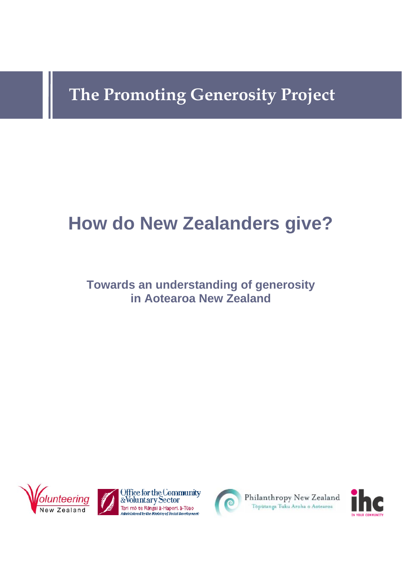# **The Promoting Generosity Project**

# **How do New Zealanders give?**

# **Towards an understanding of generosity in Aotearoa New Zealand**









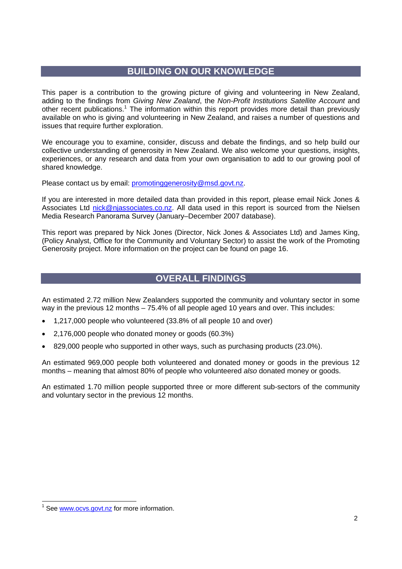## **BUILDING ON OUR KNOWLEDGE**

This paper is a contribution to the growing picture of giving and volunteering in New Zealand, adding to the findings from *Giving New Zealand*, the *Non-Profit Institutions Satellite Account* and other recent publications.<sup>1</sup> The information within this report provides more detail than previously available on who is giving and volunteering in New Zealand, and raises a number of questions and issues that require further exploration.

We encourage you to examine, consider, discuss and debate the findings, and so help build our collective understanding of generosity in New Zealand. We also welcome your questions, insights, experiences, or any research and data from your own organisation to add to our growing pool of shared knowledge.

Please contact us by email: promotinggenerosity@msd.govt.nz.

If you are interested in more detailed data than provided in this report, please email Nick Jones & Associates Ltd nick@njassociates.co.nz. All data used in this report is sourced from the Nielsen Media Research Panorama Survey (January–December 2007 database).

This report was prepared by Nick Jones (Director, Nick Jones & Associates Ltd) and James King, (Policy Analyst, Office for the Community and Voluntary Sector) to assist the work of the Promoting Generosity project. More information on the project can be found on page 16.

## **OVERALL FINDINGS**

An estimated 2.72 million New Zealanders supported the community and voluntary sector in some way in the previous 12 months – 75.4% of all people aged 10 years and over. This includes:

- 1,217,000 people who volunteered (33.8% of all people 10 and over)
- 2,176,000 people who donated money or goods (60.3%)
- 829,000 people who supported in other ways, such as purchasing products (23.0%).

An estimated 969,000 people both volunteered and donated money or goods in the previous 12 months – meaning that almost 80% of people who volunteered *also* donated money or goods.

An estimated 1.70 million people supported three or more different sub-sectors of the community and voluntary sector in the previous 12 months.

 $\overline{a}$ 

<sup>1</sup> See www.ocvs.govt.nz for more information.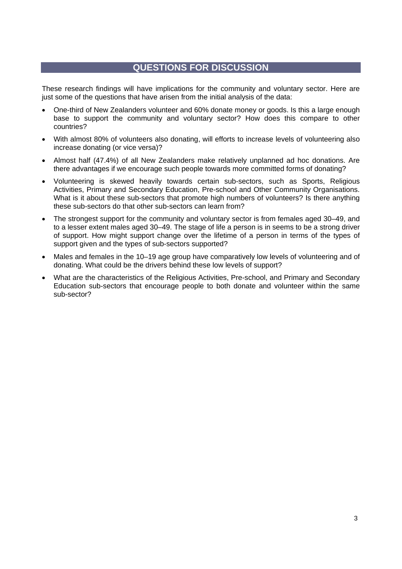# **QUESTIONS FOR DISCUSSION**

These research findings will have implications for the community and voluntary sector. Here are just some of the questions that have arisen from the initial analysis of the data:

- One-third of New Zealanders volunteer and 60% donate money or goods. Is this a large enough base to support the community and voluntary sector? How does this compare to other countries?
- With almost 80% of volunteers also donating, will efforts to increase levels of volunteering also increase donating (or vice versa)?
- Almost half (47.4%) of all New Zealanders make relatively unplanned ad hoc donations. Are there advantages if we encourage such people towards more committed forms of donating?
- Volunteering is skewed heavily towards certain sub-sectors, such as Sports, Religious Activities, Primary and Secondary Education, Pre-school and Other Community Organisations. What is it about these sub-sectors that promote high numbers of volunteers? Is there anything these sub-sectors do that other sub-sectors can learn from?
- The strongest support for the community and voluntary sector is from females aged 30–49, and to a lesser extent males aged 30–49. The stage of life a person is in seems to be a strong driver of support. How might support change over the lifetime of a person in terms of the types of support given and the types of sub-sectors supported?
- Males and females in the 10–19 age group have comparatively low levels of volunteering and of donating. What could be the drivers behind these low levels of support?
- What are the characteristics of the Religious Activities, Pre-school, and Primary and Secondary Education sub-sectors that encourage people to both donate and volunteer within the same sub-sector?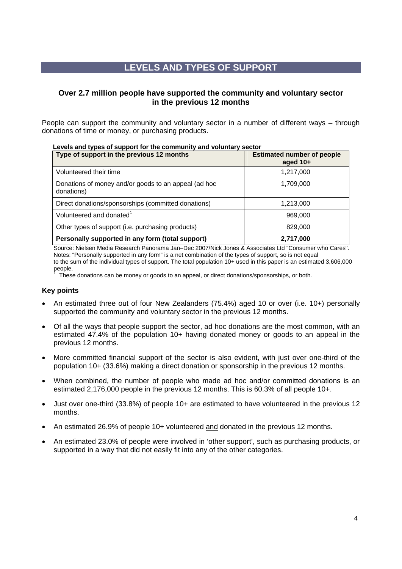# **LEVELS AND TYPES OF SUPPORT**

## **Over 2.7 million people have supported the community and voluntary sector in the previous 12 months**

People can support the community and voluntary sector in a number of different ways – through donations of time or money, or purchasing products.

| Type of support in the previous 12 months                          | <b>Estimated number of people</b><br>aged 10+ |
|--------------------------------------------------------------------|-----------------------------------------------|
| Volunteered their time                                             | 1,217,000                                     |
| Donations of money and/or goods to an appeal (ad hoc<br>donations) | 1,709,000                                     |
| Direct donations/sponsorships (committed donations)                | 1,213,000                                     |
| Volunteered and donated <sup>1</sup>                               | 969,000                                       |
| Other types of support (i.e. purchasing products)                  | 829,000                                       |
| Personally supported in any form (total support)                   | 2,717,000                                     |

 **Levels and types of support for the community and voluntary sector** 

Source: Nielsen Media Research Panorama Jan–Dec 2007/Nick Jones & Associates Ltd "Consumer who Cares". Notes: "Personally supported in any form" is a net combination of the types of support, so is not equal to the sum of the individual types of support. The total population 10+ used in this paper is an estimated 3,606,000 people.<br><sup>1</sup> Thees

These donations can be money or goods to an appeal, or direct donations/sponsorships, or both.

- An estimated three out of four New Zealanders (75.4%) aged 10 or over (i.e. 10+) personally supported the community and voluntary sector in the previous 12 months.
- Of all the ways that people support the sector, ad hoc donations are the most common, with an estimated 47.4% of the population 10+ having donated money or goods to an appeal in the previous 12 months.
- More committed financial support of the sector is also evident, with just over one-third of the population 10+ (33.6%) making a direct donation or sponsorship in the previous 12 months.
- When combined, the number of people who made ad hoc and/or committed donations is an estimated 2,176,000 people in the previous 12 months. This is 60.3% of all people 10+.
- Just over one-third (33.8%) of people 10+ are estimated to have volunteered in the previous 12 months.
- An estimated 26.9% of people 10+ volunteered and donated in the previous 12 months.
- An estimated 23.0% of people were involved in 'other support', such as purchasing products, or supported in a way that did not easily fit into any of the other categories.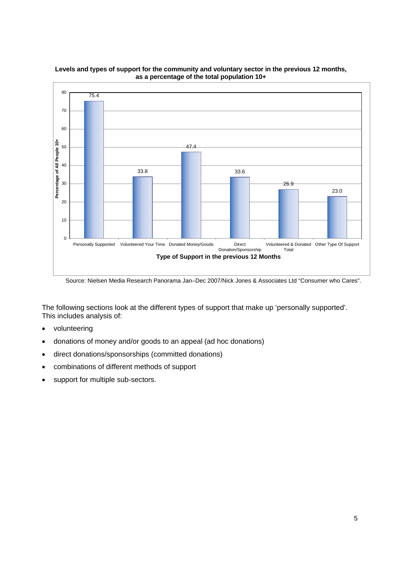

#### **Levels and types of support for the community and voluntary sector in the previous 12 months, as a percentage of the total population 10+**

Source: Nielsen Media Research Panorama Jan–Dec 2007/Nick Jones & Associates Ltd "Consumer who Cares".

The following sections look at the different types of support that make up 'personally supported'. This includes analysis of:

- volunteering
- donations of money and/or goods to an appeal (ad hoc donations)
- direct donations/sponsorships (committed donations)
- combinations of different methods of support
- support for multiple sub-sectors.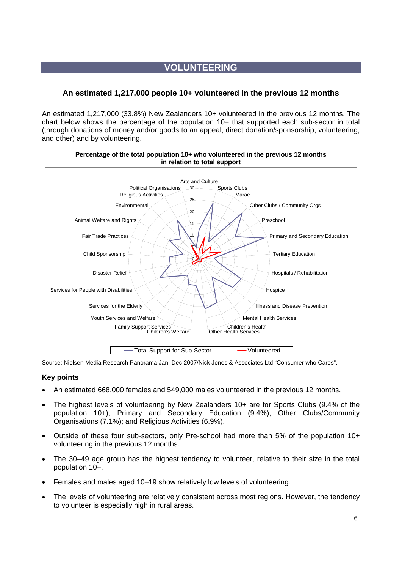# **VOLUNTEERING**

## **An estimated 1,217,000 people 10+ volunteered in the previous 12 months**

An estimated 1,217,000 (33.8%) New Zealanders 10+ volunteered in the previous 12 months. The chart below shows the percentage of the population 10+ that supported each sub-sector in total (through donations of money and/or goods to an appeal, direct donation/sponsorship, volunteering, and other) and by volunteering.



#### **Percentage of the total population 10+ who volunteered in the previous 12 months in relation to total support**

Source: Nielsen Media Research Panorama Jan–Dec 2007/Nick Jones & Associates Ltd "Consumer who Cares".

- An estimated 668,000 females and 549,000 males volunteered in the previous 12 months.
- The highest levels of volunteering by New Zealanders 10+ are for Sports Clubs (9.4% of the population 10+), Primary and Secondary Education (9.4%), Other Clubs/Community Organisations (7.1%); and Religious Activities (6.9%).
- Outside of these four sub-sectors, only Pre-school had more than 5% of the population 10+ volunteering in the previous 12 months.
- The 30–49 age group has the highest tendency to volunteer, relative to their size in the total population 10+.
- Females and males aged 10–19 show relatively low levels of volunteering.
- The levels of volunteering are relatively consistent across most regions. However, the tendency to volunteer is especially high in rural areas.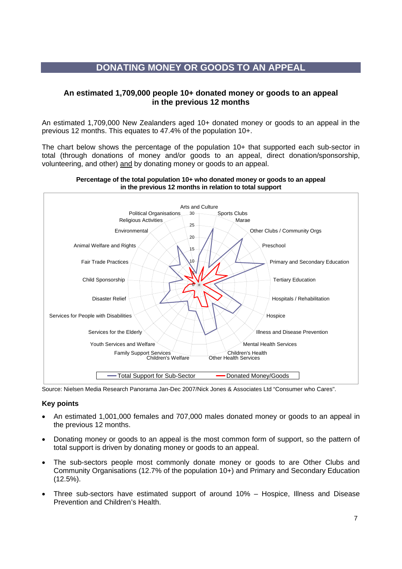# **DONATING MONEY OR GOODS TO AN APPEAL**

## **An estimated 1,709,000 people 10+ donated money or goods to an appeal in the previous 12 months**

An estimated 1,709,000 New Zealanders aged 10+ donated money or goods to an appeal in the previous 12 months. This equates to 47.4% of the population 10+.

The chart below shows the percentage of the population 10+ that supported each sub-sector in total (through donations of money and/or goods to an appeal, direct donation/sponsorship, volunteering, and other) and by donating money or goods to an appeal.



#### **Percentage of the total population 10+ who donated money or goods to an appeal in the previous 12 months in relation to total support**

Source: Nielsen Media Research Panorama Jan-Dec 2007/Nick Jones & Associates Ltd "Consumer who Cares".

- An estimated 1,001,000 females and 707,000 males donated money or goods to an appeal in the previous 12 months.
- Donating money or goods to an appeal is the most common form of support, so the pattern of total support is driven by donating money or goods to an appeal.
- The sub-sectors people most commonly donate money or goods to are Other Clubs and Community Organisations (12.7% of the population 10+) and Primary and Secondary Education (12.5%).
- Three sub-sectors have estimated support of around 10% Hospice, Illness and Disease Prevention and Children's Health.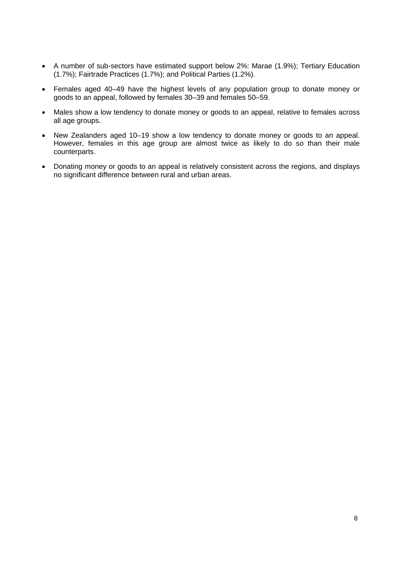- A number of sub-sectors have estimated support below 2%: Marae (1.9%); Tertiary Education (1.7%); Fairtrade Practices (1.7%); and Political Parties (1.2%).
- Females aged 40–49 have the highest levels of any population group to donate money or goods to an appeal, followed by females 30–39 and females 50–59.
- Males show a low tendency to donate money or goods to an appeal, relative to females across all age groups.
- New Zealanders aged 10–19 show a low tendency to donate money or goods to an appeal. However, females in this age group are almost twice as likely to do so than their male counterparts.
- Donating money or goods to an appeal is relatively consistent across the regions, and displays no significant difference between rural and urban areas.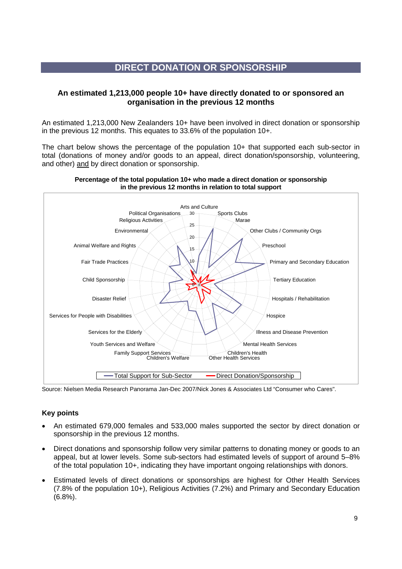# **DIRECT DONATION OR SPONSORSHIP**

## **An estimated 1,213,000 people 10+ have directly donated to or sponsored an organisation in the previous 12 months**

An estimated 1,213,000 New Zealanders 10+ have been involved in direct donation or sponsorship in the previous 12 months. This equates to 33.6% of the population 10+.

The chart below shows the percentage of the population 10+ that supported each sub-sector in total (donations of money and/or goods to an appeal, direct donation/sponsorship, volunteering, and other) and by direct donation or sponsorship.



#### **Percentage of the total population 10+ who made a direct donation or sponsorship in the previous 12 months in relation to total support**

Source: Nielsen Media Research Panorama Jan-Dec 2007/Nick Jones & Associates Ltd "Consumer who Cares".

- An estimated 679,000 females and 533,000 males supported the sector by direct donation or sponsorship in the previous 12 months.
- Direct donations and sponsorship follow very similar patterns to donating money or goods to an appeal, but at lower levels. Some sub-sectors had estimated levels of support of around 5–8% of the total population 10+, indicating they have important ongoing relationships with donors.
- Estimated levels of direct donations or sponsorships are highest for Other Health Services (7.8% of the population 10+), Religious Activities (7.2%) and Primary and Secondary Education (6.8%).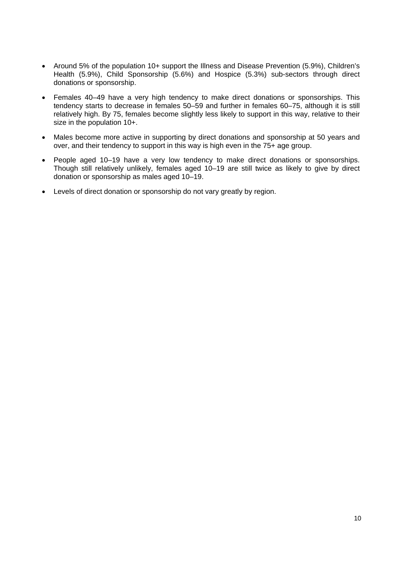- Around 5% of the population 10+ support the Illness and Disease Prevention (5.9%), Children's Health (5.9%), Child Sponsorship (5.6%) and Hospice (5.3%) sub-sectors through direct donations or sponsorship.
- Females 40–49 have a very high tendency to make direct donations or sponsorships. This tendency starts to decrease in females 50–59 and further in females 60–75, although it is still relatively high. By 75, females become slightly less likely to support in this way, relative to their size in the population 10+.
- Males become more active in supporting by direct donations and sponsorship at 50 years and over, and their tendency to support in this way is high even in the 75+ age group.
- People aged 10–19 have a very low tendency to make direct donations or sponsorships. Though still relatively unlikely, females aged 10–19 are still twice as likely to give by direct donation or sponsorship as males aged 10–19.
- Levels of direct donation or sponsorship do not vary greatly by region.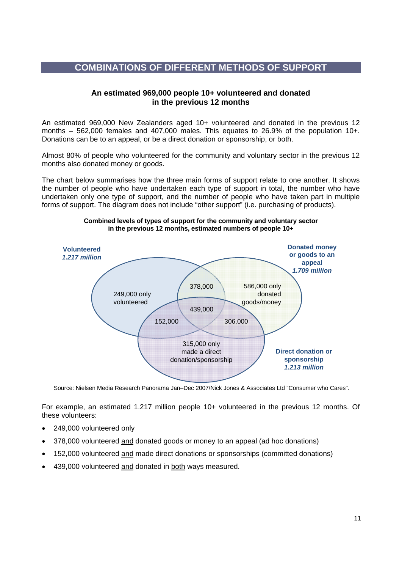## **COMBINATIONS OF DIFFERENT METHODS OF SUPPORT**

## **An estimated 969,000 people 10+ volunteered and donated in the previous 12 months**

An estimated 969,000 New Zealanders aged 10+ volunteered and donated in the previous 12 months – 562,000 females and 407,000 males. This equates to 26.9% of the population 10+. Donations can be to an appeal, or be a direct donation or sponsorship, or both.

Almost 80% of people who volunteered for the community and voluntary sector in the previous 12 months also donated money or goods.

The chart below summarises how the three main forms of support relate to one another. It shows the number of people who have undertaken each type of support in total, the number who have undertaken only one type of support, and the number of people who have taken part in multiple forms of support. The diagram does not include "other support" (i.e. purchasing of products).



#### **Combined levels of types of support for the community and voluntary sector in the previous 12 months, estimated numbers of people 10+**

Source: Nielsen Media Research Panorama Jan–Dec 2007/Nick Jones & Associates Ltd "Consumer who Cares".

For example, an estimated 1.217 million people 10+ volunteered in the previous 12 months. Of these volunteers:

- 249,000 volunteered only
- 378,000 volunteered and donated goods or money to an appeal (ad hoc donations)
- 152,000 volunteered and made direct donations or sponsorships (committed donations)
- 439,000 volunteered and donated in both ways measured.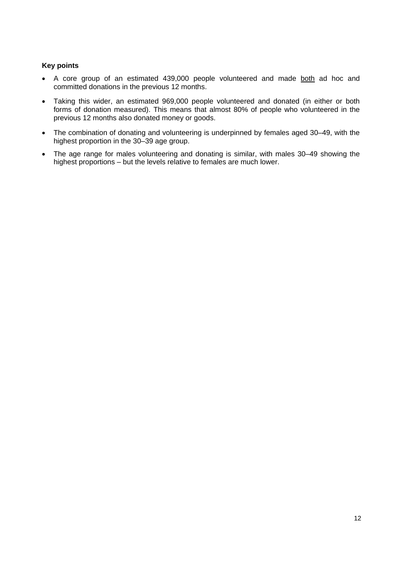- A core group of an estimated 439,000 people volunteered and made both ad hoc and committed donations in the previous 12 months.
- Taking this wider, an estimated 969,000 people volunteered and donated (in either or both forms of donation measured). This means that almost 80% of people who volunteered in the previous 12 months also donated money or goods.
- The combination of donating and volunteering is underpinned by females aged 30–49, with the highest proportion in the 30–39 age group.
- The age range for males volunteering and donating is similar, with males 30–49 showing the highest proportions – but the levels relative to females are much lower.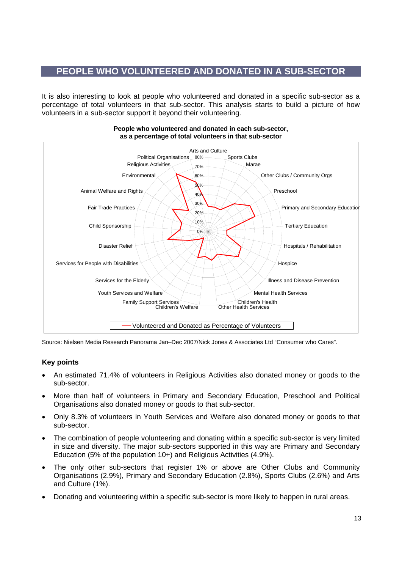# **PEOPLE WHO VOLUNTEERED AND DONATED IN A SUB-SECTOR**

It is also interesting to look at people who volunteered and donated in a specific sub-sector as a percentage of total volunteers in that sub-sector. This analysis starts to build a picture of how volunteers in a sub-sector support it beyond their volunteering.



#### **People who volunteered and donated in each sub-sector, as a percentage of total volunteers in that sub-sector**

Source: Nielsen Media Research Panorama Jan–Dec 2007/Nick Jones & Associates Ltd "Consumer who Cares".

- An estimated 71.4% of volunteers in Religious Activities also donated money or goods to the sub-sector.
- More than half of volunteers in Primary and Secondary Education, Preschool and Political Organisations also donated money or goods to that sub-sector.
- Only 8.3% of volunteers in Youth Services and Welfare also donated money or goods to that sub-sector.
- The combination of people volunteering and donating within a specific sub-sector is very limited in size and diversity. The major sub-sectors supported in this way are Primary and Secondary Education (5% of the population 10+) and Religious Activities (4.9%).
- The only other sub-sectors that register 1% or above are Other Clubs and Community Organisations (2.9%), Primary and Secondary Education (2.8%), Sports Clubs (2.6%) and Arts and Culture (1%).
- Donating and volunteering within a specific sub-sector is more likely to happen in rural areas.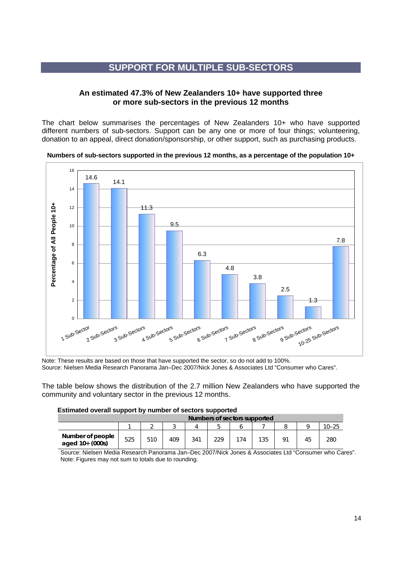# **SUPPORT FOR MULTIPLE SUB-SECTORS**

## **An estimated 47.3% of New Zealanders 10+ have supported three or more sub-sectors in the previous 12 months**

The chart below summarises the percentages of New Zealanders 10+ who have supported different numbers of sub-sectors. Support can be any one or more of four things; volunteering, donation to an appeal, direct donation/sponsorship, or other support, such as purchasing products.

#### **Numbers of sub-sectors supported in the previous 12 months, as a percentage of the population 10+**



Note: These results are based on those that have supported the sector, so do not add to 100%. Source: Nielsen Media Research Panorama Jan–Dec 2007/Nick Jones & Associates Ltd "Consumer who Cares".

The table below shows the distribution of the 2.7 million New Zealanders who have supported the community and voluntary sector in the previous 12 months.

#### **Estimated overall support by number of sectors supported**

|                                     | Numbers of sectors supported |     |     |     |     |     |     |  |    |           |
|-------------------------------------|------------------------------|-----|-----|-----|-----|-----|-----|--|----|-----------|
|                                     |                              |     |     |     | h   |     |     |  |    | $10 - 25$ |
| Number of people<br>aged 10+ (000s) | 525                          | 510 | 409 | 341 | 229 | 174 | 135 |  | 45 | 280       |

Source: Nielsen Media Research Panorama Jan–Dec 2007/Nick Jones & Associates Ltd "Consumer who Cares". Note: Figures may not sum to totals due to rounding.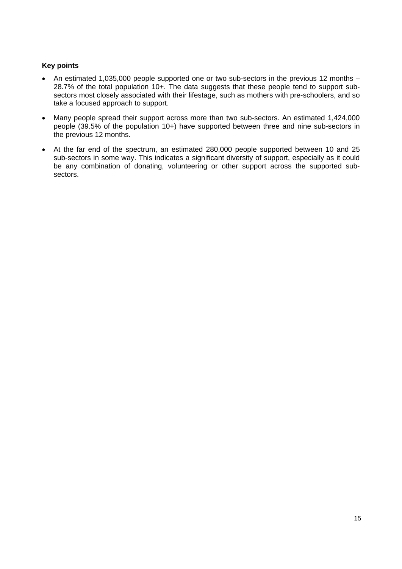- An estimated 1,035,000 people supported one or two sub-sectors in the previous 12 months 28.7% of the total population 10+. The data suggests that these people tend to support subsectors most closely associated with their lifestage, such as mothers with pre-schoolers, and so take a focused approach to support.
- Many people spread their support across more than two sub-sectors. An estimated 1,424,000 people (39.5% of the population 10+) have supported between three and nine sub-sectors in the previous 12 months.
- At the far end of the spectrum, an estimated 280,000 people supported between 10 and 25 sub-sectors in some way. This indicates a significant diversity of support, especially as it could be any combination of donating, volunteering or other support across the supported subsectors.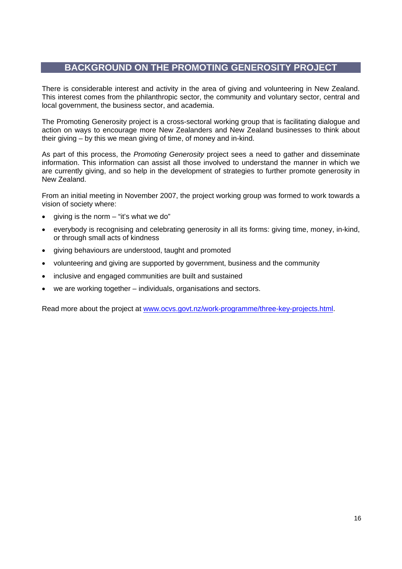# **BACKGROUND ON THE PROMOTING GENEROSITY PROJECT**

There is considerable interest and activity in the area of giving and volunteering in New Zealand. This interest comes from the philanthropic sector, the community and voluntary sector, central and local government, the business sector, and academia.

The Promoting Generosity project is a cross-sectoral working group that is facilitating dialogue and action on ways to encourage more New Zealanders and New Zealand businesses to think about their giving – by this we mean giving of time, of money and in-kind.

As part of this process, the *Promoting Generosity* project sees a need to gather and disseminate information. This information can assist all those involved to understand the manner in which we are currently giving, and so help in the development of strategies to further promote generosity in New Zealand.

From an initial meeting in November 2007, the project working group was formed to work towards a vision of society where:

- giving is the norm "it's what we do"
- everybody is recognising and celebrating generosity in all its forms: giving time, money, in-kind, or through small acts of kindness
- giving behaviours are understood, taught and promoted
- volunteering and giving are supported by government, business and the community
- inclusive and engaged communities are built and sustained
- we are working together individuals, organisations and sectors.

Read more about the project at www.ocvs.govt.nz/work-programme/three-key-projects.html.